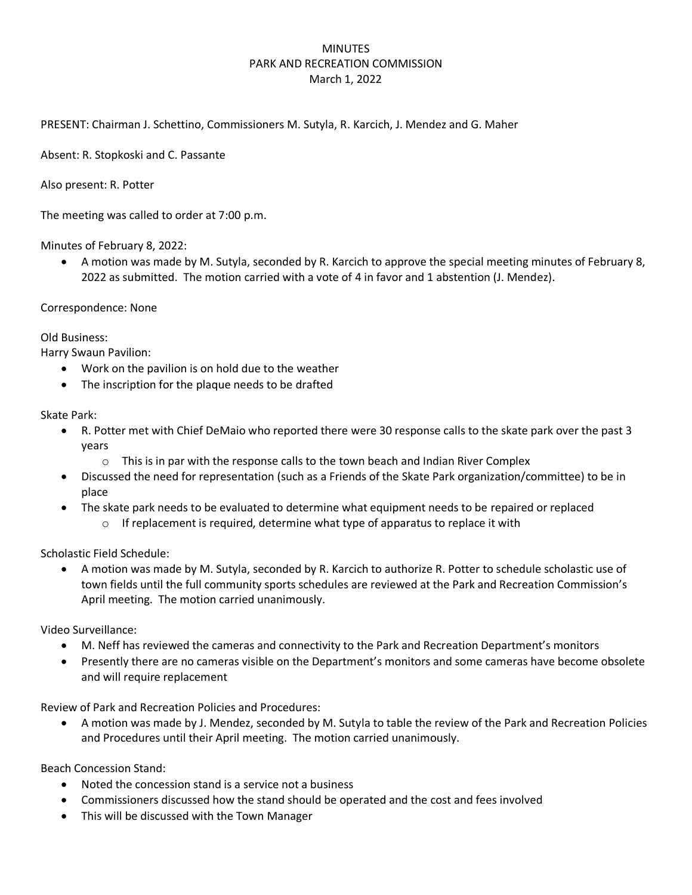## MINUTES PARK AND RECREATION COMMISSION March 1, 2022

PRESENT: Chairman J. Schettino, Commissioners M. Sutyla, R. Karcich, J. Mendez and G. Maher

Absent: R. Stopkoski and C. Passante

Also present: R. Potter

The meeting was called to order at 7:00 p.m.

Minutes of February 8, 2022:

• A motion was made by M. Sutyla, seconded by R. Karcich to approve the special meeting minutes of February 8, 2022 as submitted. The motion carried with a vote of 4 in favor and 1 abstention (J. Mendez).

Correspondence: None

Old Business:

Harry Swaun Pavilion:

- Work on the pavilion is on hold due to the weather
- The inscription for the plaque needs to be drafted

Skate Park:

- R. Potter met with Chief DeMaio who reported there were 30 response calls to the skate park over the past 3 years
	- $\circ$  This is in par with the response calls to the town beach and Indian River Complex
- Discussed the need for representation (such as a Friends of the Skate Park organization/committee) to be in place
- The skate park needs to be evaluated to determine what equipment needs to be repaired or replaced
	- $\circ$  If replacement is required, determine what type of apparatus to replace it with

Scholastic Field Schedule:

• A motion was made by M. Sutyla, seconded by R. Karcich to authorize R. Potter to schedule scholastic use of town fields until the full community sports schedules are reviewed at the Park and Recreation Commission's April meeting. The motion carried unanimously.

Video Surveillance:

- M. Neff has reviewed the cameras and connectivity to the Park and Recreation Department's monitors
- Presently there are no cameras visible on the Department's monitors and some cameras have become obsolete and will require replacement

Review of Park and Recreation Policies and Procedures:

• A motion was made by J. Mendez, seconded by M. Sutyla to table the review of the Park and Recreation Policies and Procedures until their April meeting. The motion carried unanimously.

Beach Concession Stand:

- Noted the concession stand is a service not a business
- Commissioners discussed how the stand should be operated and the cost and fees involved
- This will be discussed with the Town Manager